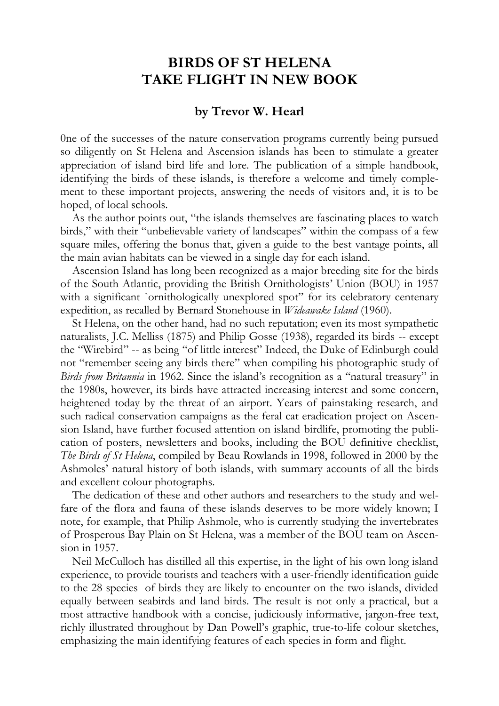## **BIRDS OF ST HELENA TAKE FLIGHT IN NEW BOOK**

## **by Trevor W. Hearl**

0ne of the successes of the nature conservation programs currently being pursued so diligently on St Helena and Ascension islands has been to stimulate a greater appreciation of island bird life and lore. The publication of a simple handbook, identifying the birds of these islands, is therefore a welcome and timely complement to these important projects, answering the needs of visitors and, it is to be hoped, of local schools.

As the author points out, "the islands themselves are fascinating places to watch birds," with their "unbelievable variety of landscapes" within the compass of a few square miles, offering the bonus that, given a guide to the best vantage points, all the main avian habitats can be viewed in a single day for each island.

Ascension Island has long been recognized as a major breeding site for the birds of the South Atlantic, providing the British Ornithologists' Union (BOU) in 1957 with a significant `ornithologically unexplored spot" for its celebratory centenary expedition, as recalled by Bernard Stonehouse in *Wideawake Island* (1960).

St Helena, on the other hand, had no such reputation; even its most sympathetic naturalists, J.C. Melliss (1875) and Philip Gosse (1938), regarded its birds -- except the "Wirebird" -- as being "of little interest" Indeed, the Duke of Edinburgh could not "remember seeing any birds there" when compiling his photographic study of *Birds from Britannia* in 1962. Since the island's recognition as a "natural treasury" in the 1980s, however, its birds have attracted increasing interest and some concern, heightened today by the threat of an airport. Years of painstaking research, and such radical conservation campaigns as the feral cat eradication project on Ascension Island, have further focused attention on island birdlife, promoting the publication of posters, newsletters and books, including the BOU definitive checklist, *The Birds of St Helena*, compiled by Beau Rowlands in 1998, followed in 2000 by the Ashmoles' natural history of both islands, with summary accounts of all the birds and excellent colour photographs.

The dedication of these and other authors and researchers to the study and welfare of the flora and fauna of these islands deserves to be more widely known; I note, for example, that Philip Ashmole, who is currently studying the invertebrates of Prosperous Bay Plain on St Helena, was a member of the BOU team on Ascension in 1957.

Neil McCulloch has distilled all this expertise, in the light of his own long island experience, to provide tourists and teachers with a user-friendly identification guide to the 28 species of birds they are likely to encounter on the two islands, divided equally between seabirds and land birds. The result is not only a practical, but a most attractive handbook with a concise, judiciously informative, jargon-free text, richly illustrated throughout by Dan Powell's graphic, true-to-life colour sketches, emphasizing the main identifying features of each species in form and flight.